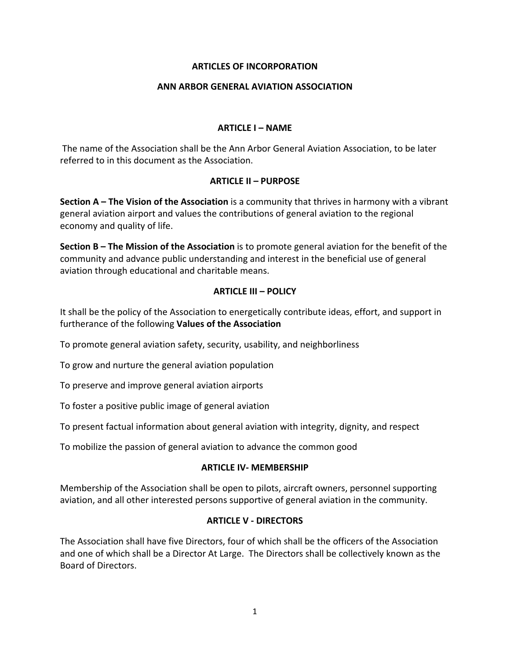# **ARTICLES OF INCORPORATION**

### **ANN ARBOR GENERAL AVIATION ASSOCIATION**

### **ARTICLE I – NAME**

The name of the Association shall be the Ann Arbor General Aviation Association, to be later referred to in this document as the Association.

# **ARTICLE II – PURPOSE**

**Section A – The Vision of the Association** is a community that thrives in harmony with a vibrant general aviation airport and values the contributions of general aviation to the regional economy and quality of life.

**Section B – The Mission of the Association** is to promote general aviation for the benefit of the community and advance public understanding and interest in the beneficial use of general aviation through educational and charitable means.

# **ARTICLE III – POLICY**

It shall be the policy of the Association to energetically contribute ideas, effort, and support in furtherance of the following **Values of the Association**

To promote general aviation safety, security, usability, and neighborliness

To grow and nurture the general aviation population

To preserve and improve general aviation airports

To foster a positive public image of general aviation

To present factual information about general aviation with integrity, dignity, and respect

To mobilize the passion of general aviation to advance the common good

### **ARTICLE IV‐ MEMBERSHIP**

Membership of the Association shall be open to pilots, aircraft owners, personnel supporting aviation, and all other interested persons supportive of general aviation in the community.

### **ARTICLE V ‐ DIRECTORS**

The Association shall have five Directors, four of which shall be the officers of the Association and one of which shall be a Director At Large. The Directors shall be collectively known as the Board of Directors.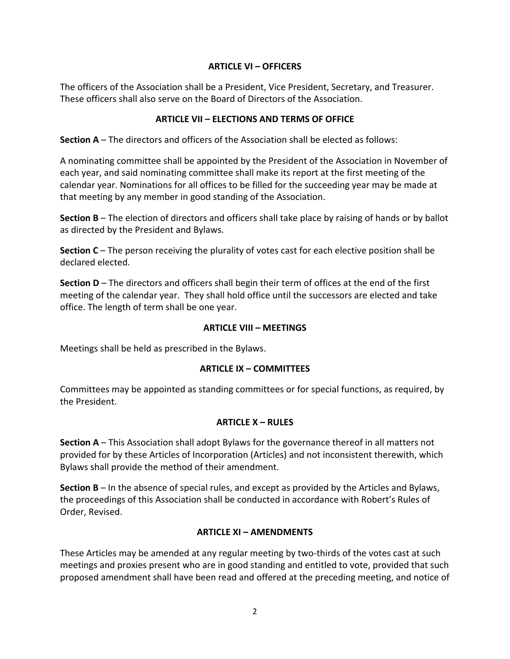# **ARTICLE VI – OFFICERS**

The officers of the Association shall be a President, Vice President, Secretary, and Treasurer. These officers shall also serve on the Board of Directors of the Association.

# **ARTICLE VII – ELECTIONS AND TERMS OF OFFICE**

**Section A** – The directors and officers of the Association shall be elected as follows:

A nominating committee shall be appointed by the President of the Association in November of each year, and said nominating committee shall make its report at the first meeting of the calendar year. Nominations for all offices to be filled for the succeeding year may be made at that meeting by any member in good standing of the Association.

**Section B** – The election of directors and officers shall take place by raising of hands or by ballot as directed by the President and Bylaws.

**Section C** – The person receiving the plurality of votes cast for each elective position shall be declared elected.

**Section D** – The directors and officers shall begin their term of offices at the end of the first meeting of the calendar year. They shall hold office until the successors are elected and take office. The length of term shall be one year.

### **ARTICLE VIII – MEETINGS**

Meetings shall be held as prescribed in the Bylaws.

### **ARTICLE IX – COMMITTEES**

Committees may be appointed as standing committees or for special functions, as required, by the President.

### **ARTICLE X – RULES**

**Section A** – This Association shall adopt Bylaws for the governance thereof in all matters not provided for by these Articles of Incorporation (Articles) and not inconsistent therewith, which Bylaws shall provide the method of their amendment.

**Section B** – In the absence of special rules, and except as provided by the Articles and Bylaws, the proceedings of this Association shall be conducted in accordance with Robert's Rules of Order, Revised.

### **ARTICLE XI – AMENDMENTS**

These Articles may be amended at any regular meeting by two-thirds of the votes cast at such meetings and proxies present who are in good standing and entitled to vote, provided that such proposed amendment shall have been read and offered at the preceding meeting, and notice of